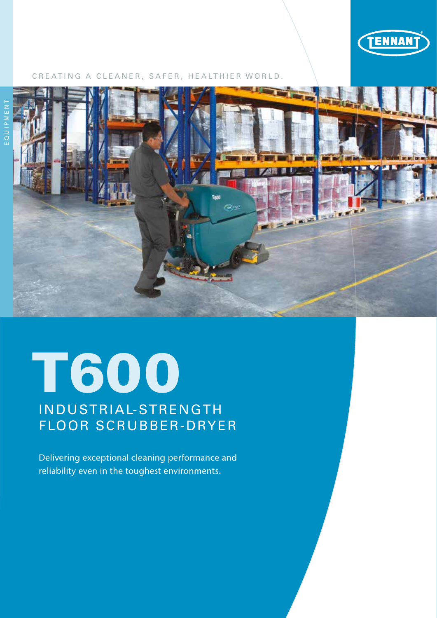

#### CREATING A CLEANER, SAFER, HEALTHIER WORLD.





# T600 INDUSTRIAL-STRENGTH FLOOR SCRUBBER-DRYER

Delivering exceptional cleaning performance and reliability even in the toughest environments.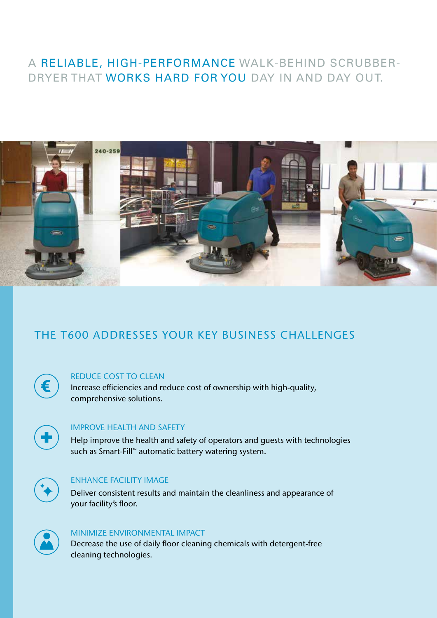## A RELIABLE, HIGH-PERFORMANCE WALK-BEHIND SCRUBBER-DRYER THAT WORKS HARD FOR YOU DAY IN AND DAY OUT.



# THE T600 ADDRESSES YOUR KEY BUSINESS CHALLENGES



#### REDUCE COST TO CLEAN

Increase efficiencies and reduce cost of ownership with high-quality, comprehensive solutions.



#### IMPROVE HEALTH AND SAFETY

Help improve the health and safety of operators and guests with technologies such as Smart-Fill™ automatic battery watering system.



#### ENHANCE FACILITY IMAGE

Deliver consistent results and maintain the cleanliness and appearance of your facility's floor.



#### MINIMIZE ENVIRONMENTAL IMPACT

Decrease the use of daily floor cleaning chemicals with detergent-free cleaning technologies.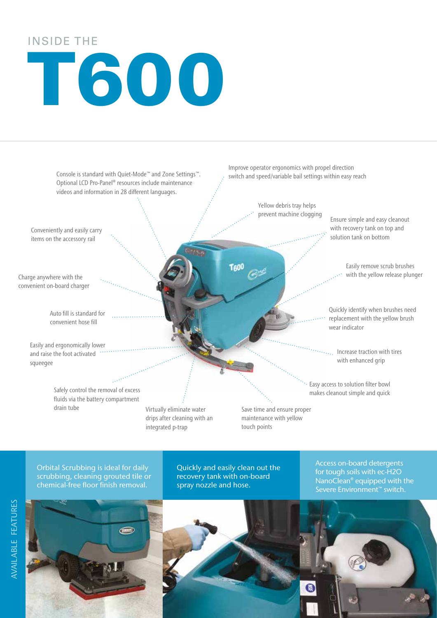# INSIDE THE T600



Orbital Scrubbing is ideal for daily scrubbing, cleaning grouted tile or chemical-free floor finish removal.



Quickly and easily clean out the recovery tank with on-board spray nozzle and hose.

Access on-board detergents for tough soils with ec-H2O NanoClean® equipped with the Severe Environment™ switch.

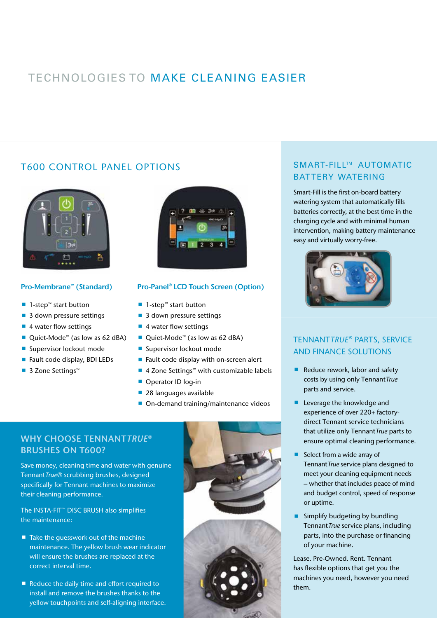# TECHNOLOGIES TO MAKE CLEANING EASIER

#### T600 CONTROL PANEL OPTIONS



#### Pro-Membrane™ (Standard)

- 1-step<sup>™</sup> start button
- 3 down pressure settings
- 4 water flow settings
- Quiet-Mode<sup>™</sup> (as low as 62 dBA)
- **Supervisor lockout mode**
- Fault code display, BDI LEDs
- 3 Zone Settings™



#### Pro-Panel® LCD Touch Screen (Option)

- 1-step<sup>™</sup> start button
- 3 down pressure settings
- 4 water flow settings
- Quiet-Mode<sup>™</sup> (as low as 62 dBA)
- **Supervisor lockout mode**
- Fault code display with on-screen alert
- 4 Zone Settings<sup>™</sup> with customizable labels
- Operator ID log-in
- 28 languages available
- On-demand training/maintenance videos

#### WHY CHOOSE TENNANT*TRUE®* BRUSHES ON T600?

Save money, cleaning time and water with genuine Tennant*True®* scrubbing brushes, designed specifically for Tennant machines to maximize their cleaning performance.

The INSTA-FIT™ DISC BRUSH also simplifies the maintenance:

- $\blacksquare$  Take the quesswork out of the machine maintenance. The yellow brush wear indicator will ensure the brushes are replaced at the correct interval time.
- Reduce the daily time and effort required to install and remove the brushes thanks to the yellow touchpoints and self-aligning interface.





#### SMART-FILL™ AUTOMATIC BATTERY WATERING

Smart-Fill is the first on-board battery watering system that automatically fills batteries correctly, at the best time in the charging cycle and with minimal human intervention, making battery maintenance easy and virtually worry-free.



#### TENNANT*TRUE*® PARTS, SERVICE AND FINANCE SOLUTIONS

- Reduce rework, labor and safety costs by using only Tennant*True* parts and service.
- **Leverage the knowledge and** experience of over 220+ factorydirect Tennant service technicians that utilize only Tennant*True* parts to ensure optimal cleaning performance.
- Select from a wide array of Tennant*True* service plans designed to meet your cleaning equipment needs – whether that includes peace of mind and budget control, speed of response or uptime.
- $\blacksquare$  Simplify budgeting by bundling Tennant*True* service plans, including parts, into the purchase or financing of your machine.

Lease. Pre-Owned. Rent. Tennant has flexible options that get you the machines you need, however you need them.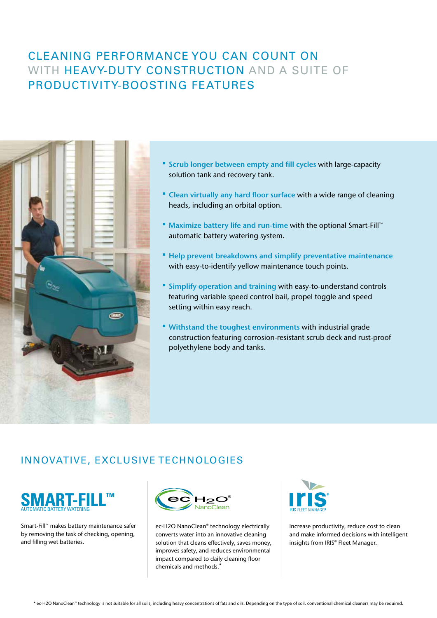## CLEANING PERFORMANCE YOU CAN COUNT ON WITH HEAVY-DUTY CONSTRUCTION AND A SUITE OF PRODUCTIVITY-BOOSTING FEATURES



- Scrub longer between empty and fill cycles with large-capacity solution tank and recovery tank.
- " Clean virtually any hard floor surface with a wide range of cleaning heads, including an orbital option.
- Maximize battery life and run-time with the optional Smart-Fill™ automatic battery watering system.
- Help prevent breakdowns and simplify preventative maintenance with easy-to-identify yellow maintenance touch points.
- **Simplify operation and training with easy-to-understand controls** featuring variable speed control bail, propel toggle and speed setting within easy reach.
- Withstand the toughest environments with industrial grade construction featuring corrosion-resistant scrub deck and rust-proof polyethylene body and tanks.

#### INNOVATIVE, EXCLUSIVE TECHNOLOGIES



Smart-Fill™ makes battery maintenance safer by removing the task of checking, opening, and filling wet batteries.



ec-H2O NanoClean® technology electrically converts water into an innovative cleaning solution that cleans effectively, saves money, improves safety, and reduces environmental impact compared to daily cleaning floor chemicals and methods.<sup>\*</sup>



Increase productivity, reduce cost to clean and make informed decisions with intelligent insights from IRIS® Fleet Manager.